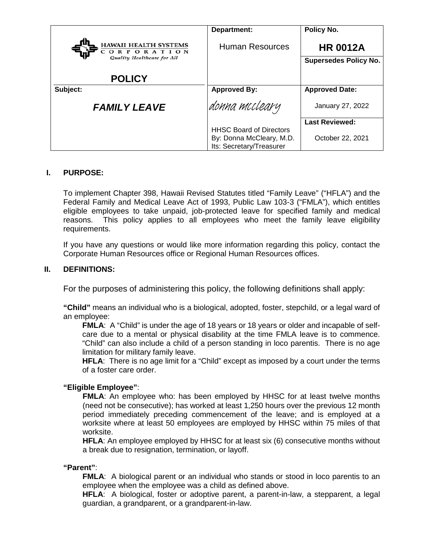|                                                                    | Department:                                          | Policy No.                                      |
|--------------------------------------------------------------------|------------------------------------------------------|-------------------------------------------------|
| HAWAII HEALTH SYSTEMS<br>CORPORATION<br>Quality Healthcare for All | <b>Human Resources</b>                               | <b>HR 0012A</b><br><b>Supersedes Policy No.</b> |
| <b>POLICY</b>                                                      |                                                      |                                                 |
| Subject:                                                           | <b>Approved By:</b>                                  | <b>Approved Date:</b>                           |
| <b>FAMILY LEAVE</b>                                                | donna mccleary                                       | January 27, 2022                                |
|                                                                    |                                                      | <b>Last Reviewed:</b>                           |
|                                                                    | <b>HHSC Board of Directors</b>                       |                                                 |
|                                                                    | By: Donna McCleary, M.D.<br>Its: Secretary/Treasurer | October 22, 2021                                |

# **I. PURPOSE:**

To implement Chapter 398, Hawaii Revised Statutes titled "Family Leave" ("HFLA") and the Federal Family and Medical Leave Act of 1993, Public Law 103-3 ("FMLA"), which entitles eligible employees to take unpaid, job-protected leave for specified family and medical reasons. This policy applies to all employees who meet the family leave eligibility requirements.

If you have any questions or would like more information regarding this policy, contact the Corporate Human Resources office or Regional Human Resources offices.

#### **II. DEFINITIONS:**

For the purposes of administering this policy, the following definitions shall apply:

**"Child"** means an individual who is a biological, adopted, foster, stepchild, or a legal ward of an employee:

**FMLA**: A "Child" is under the age of 18 years or 18 years or older and incapable of selfcare due to a mental or physical disability at the time FMLA leave is to commence. "Child" can also include a child of a person standing in loco parentis. There is no age limitation for military family leave.

**HFLA**: There is no age limit for a "Child" except as imposed by a court under the terms of a foster care order.

# **"Eligible Employee"**:

**FMLA:** An employee who: has been employed by HHSC for at least twelve months (need not be consecutive); has worked at least 1,250 hours over the previous 12 month period immediately preceding commencement of the leave; and is employed at a worksite where at least 50 employees are employed by HHSC within 75 miles of that worksite.

**HFLA**: An employee employed by HHSC for at least six (6) consecutive months without a break due to resignation, termination, or layoff.

#### **"Parent"**:

**FMLA**: A biological parent or an individual who stands or stood in loco parentis to an employee when the employee was a child as defined above.

**HFLA**: A biological, foster or adoptive parent, a parent-in-law, a stepparent, a legal guardian, a grandparent, or a grandparent-in-law.